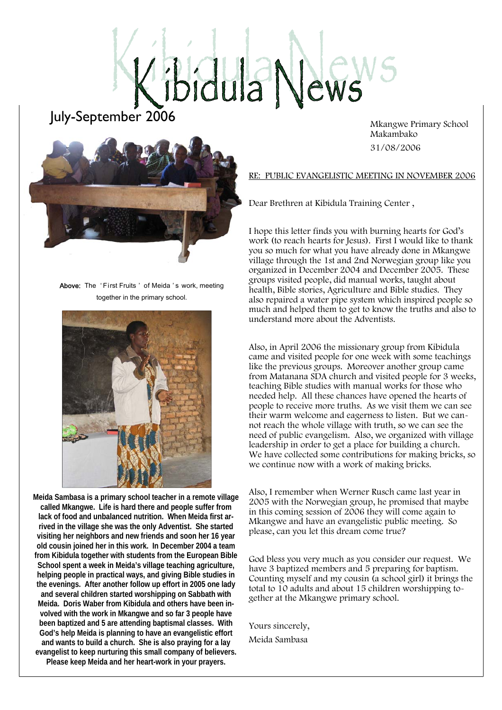# idula News

## July-September 2006

 Mkangwe Primary School Makambako 31/08/2006



Above: The 'First Fruits' of Meida's work, meeting together in the primary school.



**Meida Sambasa is a primary school teacher in a remote village called Mkangwe. Life is hard there and people suffer from lack of food and unbalanced nutrition. When Meida first arrived in the village she was the only Adventist. She started visiting her neighbors and new friends and soon her 16 year old cousin joined her in this work. In December 2004 a team from Kibidula together with students from the European Bible School spent a week in Meida's village teaching agriculture, helping people in practical ways, and giving Bible studies in the evenings. After another follow up effort in 2005 one lady and several children started worshipping on Sabbath with Meida. Doris Waber from Kibidula and others have been involved with the work in Mkangwe and so far 3 people have been baptized and 5 are attending baptismal classes. With God's help Meida is planning to have an evangelistic effort and wants to build a church. She is also praying for a lay evangelist to keep nurturing this small company of believers. Please keep Meida and her heart-work in your prayers.** 

RE: PUBLIC EVANGELISTIC MEETING IN NOVEMBER 2006

Dear Brethren at Kibidula Training Center ,

I hope this letter finds you with burning hearts for God's work (to reach hearts for Jesus). First I would like to thank you so much for what you have already done in Mkangwe village through the 1st and 2nd Norwegian group like you organized in December 2004 and December 2005. These groups visited people, did manual works, taught about health, Bible stories, Agriculture and Bible studies. They also repaired a water pipe system which inspired people so much and helped them to get to know the truths and also to understand more about the Adventists.

Also, in April 2006 the missionary group from Kibidula came and visited people for one week with some teachings like the previous groups. Moreover another group came from Matanana SDA church and visited people for 3 weeks, teaching Bible studies with manual works for those who needed help. All these chances have opened the hearts of people to receive more truths. As we visit them we can see their warm welcome and eagerness to listen. But we cannot reach the whole village with truth, so we can see the need of public evangelism. Also, we organized with village leadership in order to get a place for building a church. We have collected some contributions for making bricks, so we continue now with a work of making bricks.

Also, I remember when Werner Rusch came last year in 2005 with the Norwegian group, he promised that maybe in this coming session of 2006 they will come again to Mkangwe and have an evangelistic public meeting. So please, can you let this dream come true?

God bless you very much as you consider our request. We have 3 baptized members and 5 preparing for baptism. Counting myself and my cousin (a school girl) it brings the total to 10 adults and about 15 children worshipping together at the Mkangwe primary school.

Yours sincerely, Meida Sambasa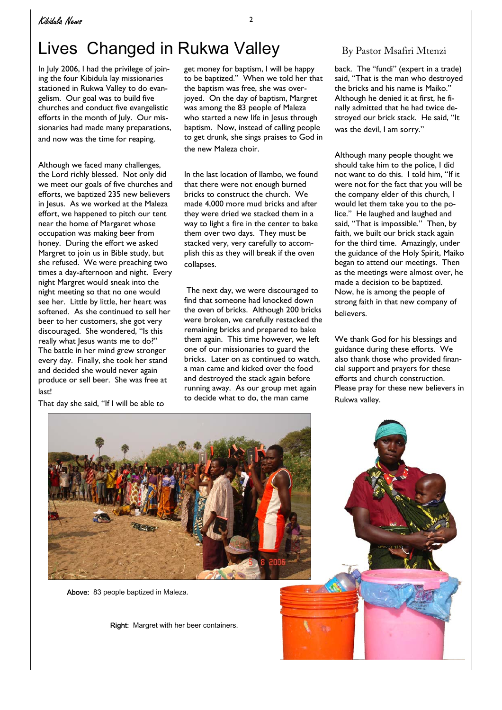# Lives Changed in Rukwa Valley By Pastor Msafiri Mtenzi

In July 2006, I had the privilege of joining the four Kibidula lay missionaries stationed in Rukwa Valley to do evangelism. Our goal was to build five churches and conduct five evangelistic efforts in the month of July. Our missionaries had made many preparations, and now was the time for reaping.

Although we faced many challenges, the Lord richly blessed. Not only did we meet our goals of five churches and efforts, we baptized 235 new believers in Jesus. As we worked at the Maleza effort, we happened to pitch our tent near the home of Margaret whose occupation was making beer from honey. During the effort we asked Margret to join us in Bible study, but she refused. We were preaching two times a day-afternoon and night. Every night Margret would sneak into the night meeting so that no one would see her. Little by little, her heart was softened. As she continued to sell her beer to her customers, she got very discouraged. She wondered, "Is this really what Jesus wants me to do?" The battle in her mind grew stronger every day. Finally, she took her stand and decided she would never again produce or sell beer. She was free at last!

That day she said, "If I will be able to

get money for baptism, I will be happy to be baptized." When we told her that the baptism was free, she was overjoyed. On the day of baptism, Margret was among the 83 people of Maleza who started a new life in Jesus through baptism. Now, instead of calling people to get drunk, she sings praises to God in the new Maleza choir.

In the last location of Ilambo, we found that there were not enough burned bricks to construct the church. We made 4,000 more mud bricks and after they were dried we stacked them in a way to light a fire in the center to bake them over two days. They must be stacked very, very carefully to accomplish this as they will break if the oven collapses.

 The next day, we were discouraged to find that someone had knocked down the oven of bricks. Although 200 bricks were broken, we carefully restacked the remaining bricks and prepared to bake them again. This time however, we left one of our missionaries to guard the bricks. Later on as continued to watch, a man came and kicked over the food and destroyed the stack again before running away. As our group met again to decide what to do, the man came

back. The "fundi" (expert in a trade) said, "That is the man who destroyed the bricks and his name is Maiko." Although he denied it at first, he finally admitted that he had twice destroyed our brick stack. He said, "It was the devil, I am sorry."

Although many people thought we should take him to the police, I did not want to do this. I told him, "If it were not for the fact that you will be the company elder of this church, I would let them take you to the police." He laughed and laughed and said, "That is impossible." Then, by faith, we built our brick stack again for the third time. Amazingly, under the guidance of the Holy Spirit, Maiko began to attend our meetings. Then as the meetings were almost over, he made a decision to be baptized. Now, he is among the people of strong faith in that new company of believers.

We thank God for his blessings and guidance during these efforts. We also thank those who provided financial support and prayers for these efforts and church construction. Please pray for these new believers in Rukwa valley.



Above: 83 people baptized in Maleza.

Right: Margret with her beer containers.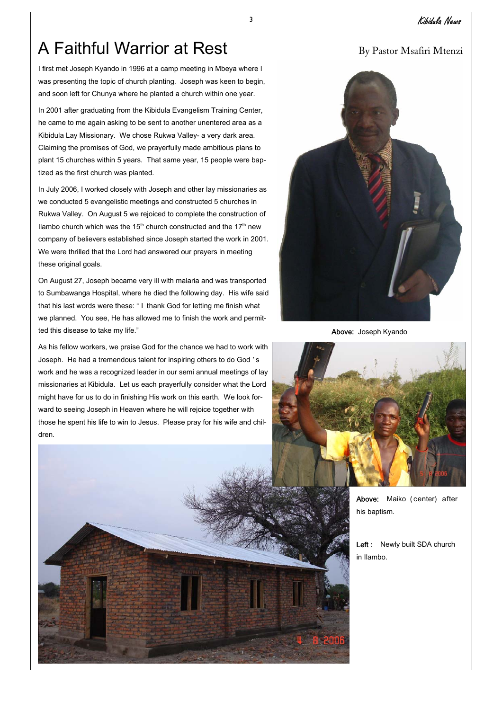# A Faithful Warrior at Rest By Pastor Msafiri Mtenzi

I first met Joseph Kyando in 1996 at a camp meeting in Mbeya where I was presenting the topic of church planting. Joseph was keen to begin, and soon left for Chunya where he planted a church within one year.

In 2001 after graduating from the Kibidula Evangelism Training Center, he came to me again asking to be sent to another unentered area as a Kibidula Lay Missionary. We chose Rukwa Valley- a very dark area. Claiming the promises of God, we prayerfully made ambitious plans to plant 15 churches within 5 years. That same year, 15 people were baptized as the first church was planted.

In July 2006, I worked closely with Joseph and other lay missionaries as we conducted 5 evangelistic meetings and constructed 5 churches in Rukwa Valley. On August 5 we rejoiced to complete the construction of Ilambo church which was the 15<sup>th</sup> church constructed and the 17<sup>th</sup> new company of believers established since Joseph started the work in 2001. We were thrilled that the Lord had answered our prayers in meeting these original goals.

On August 27, Joseph became very ill with malaria and was transported to Sumbawanga Hospital, where he died the following day. His wife said that his last words were these: " I thank God for letting me finish what we planned. You see, He has allowed me to finish the work and permitted this disease to take my life."

As his fellow workers, we praise God for the chance we had to work with Joseph. He had a tremendous talent for inspiring others to do God ' s work and he was a recognized leader in our semi annual meetings of lay missionaries at Kibidula. Let us each prayerfully consider what the Lord might have for us to do in finishing His work on this earth. We look forward to seeing Joseph in Heaven where he will rejoice together with those he spent his life to win to Jesus. Please pray for his wife and children.



Above: Joseph Kyando



Above: Maiko (center) after his baptism.

Left : Newly built SDA church in Ilambo.

### <sup>3</sup>Kibidula News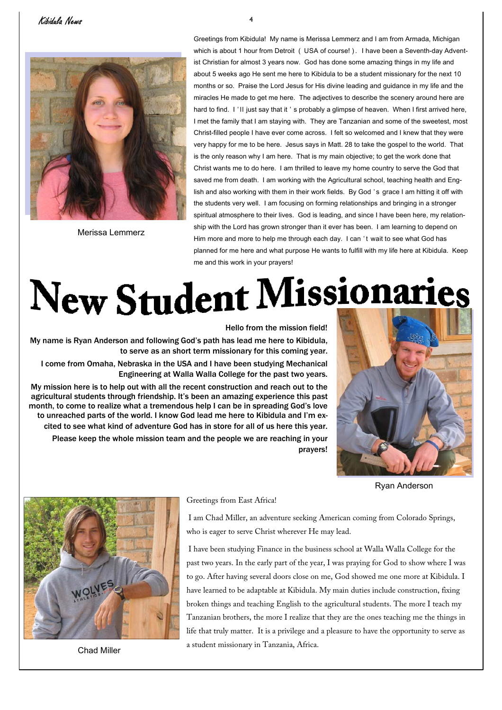### Kibidula News <sup>4</sup>



Merissa Lemmerz

Greetings from Kibidula! My name is Merissa Lemmerz and I am from Armada, Michigan which is about 1 hour from Detroit ( USA of course!). I have been a Seventh-day Adventist Christian for almost 3 years now. God has done some amazing things in my life and about 5 weeks ago He sent me here to Kibidula to be a student missionary for the next 10 months or so. Praise the Lord Jesus for His divine leading and guidance in my life and the miracles He made to get me here. The adjectives to describe the scenery around here are hard to find. I'll just say that it 's probably a glimpse of heaven. When I first arrived here, I met the family that I am staying with. They are Tanzanian and some of the sweetest, most Christ-filled people I have ever come across. I felt so welcomed and I knew that they were very happy for me to be here. Jesus says in Matt. 28 to take the gospel to the world. That is the only reason why I am here. That is my main objective; to get the work done that Christ wants me to do here. I am thrilled to leave my home country to serve the God that saved me from death. I am working with the Agricultural school, teaching health and English and also working with them in their work fields. By God ' s grace I am hitting it off with the students very well. I am focusing on forming relationships and bringing in a stronger spiritual atmosphere to their lives. God is leading, and since I have been here, my relationship with the Lord has grown stronger than it ever has been. I am learning to depend on Him more and more to help me through each day. I can 't wait to see what God has planned for me here and what purpose He wants to fulfill with my life here at Kibidula. Keep me and this work in your prayers!

# New Student Missionaries

Hello from the mission field! My name is Ryan Anderson and following God's path has lead me here to Kibidula, to serve as an short term missionary for this coming year. I come from Omaha, Nebraska in the USA and I have been studying Mechanical Engineering at Walla Walla College for the past two years. My mission here is to help out with all the recent construction and reach out to the agricultural students through friendship. It's been an amazing experience this past month, to come to realize what a tremendous help I can be in spreading God's love to unreached parts of the world. I know God lead me here to Kibidula and I'm excited to see what kind of adventure God has in store for all of us here this year. Please keep the whole mission team and the people we are reaching in your



Ryan Anderson



Chad Miller

Greetings from East Africa!

 I am Chad Miller, an adventure seeking American coming from Colorado Springs, who is eager to serve Christ wherever He may lead.

prayers!

 I have been studying Finance in the business school at Walla Walla College for the past two years. In the early part of the year, I was praying for God to show where I was to go. After having several doors close on me, God showed me one more at Kibidula. I have learned to be adaptable at Kibidula. My main duties include construction, fixing broken things and teaching English to the agricultural students. The more I teach my Tanzanian brothers, the more I realize that they are the ones teaching me the things in life that truly matter. It is a privilege and a pleasure to have the opportunity to serve as a student missionary in Tanzania, Africa.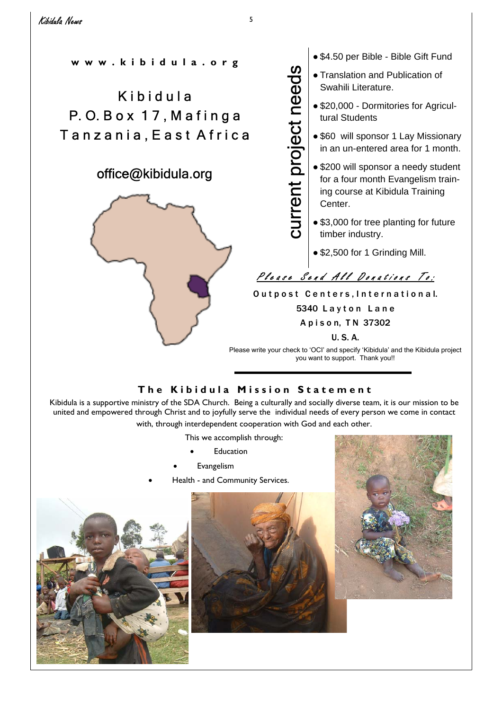current project needs

current project needs

**w w w . k i b i d u l a . o r g** 

# **Kibidula** P. O. B o x 1 7 , M a f i n g a Tanzania, East Africa

### office@kibidula.org



● \$4.50 per Bible - Bible Gift Fund

- Translation and Publication of Swahili Literature.
- \$20,000 Dormitories for Agricultural Students
- \$60 will sponsor 1 Lay Missionary in an un-entered area for 1 month.
- \$200 will sponsor a needy student for a four month Evangelism training course at Kibidula Training Center.
- \$3,000 for tree planting for future timber industry.
- \$2,500 for 1 Grinding Mill.

# Please Send All Donations To:

Outpost Centers, International.

5340 Layton Lane

A p i s o n, T N 37302

U. S. A.

Please write your check to 'OCI' and specify 'Kibidula' and the Kibidula project you want to support. Thank you!!

### **The Kibidula Mission Statement**

Kibidula is a supportive ministry of the SDA Church. Being a culturally and socially diverse team, it is our mission to be united and empowered through Christ and to joyfully serve the individual needs of every person we come in contact with, through interdependent cooperation with God and each other.

This we accomplish through:

- **Education**
- **Evangelism**
- Health and Community Services.